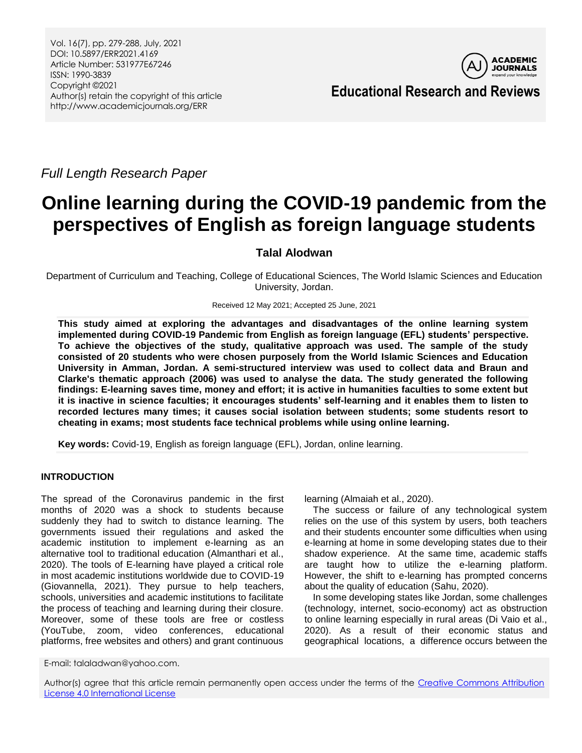Vol. 16(7), pp. 279-288, July, 2021 DOI: 10.5897/ERR2021.4169 Article Number: 531977E67246 ISSN: 1990-3839 Copyright ©2021 Author(s) retain the copyright of this article http://www.academicjournals.org/ERR



**Educational Research and Reviews**

*Full Length Research Paper*

# **Online learning during the COVID-19 pandemic from the perspectives of English as foreign language students**

# **Talal Alodwan**

Department of Curriculum and Teaching, College of Educational Sciences, The World Islamic Sciences and Education University, Jordan.

Received 12 May 2021; Accepted 25 June, 2021

**This study aimed at exploring the advantages and disadvantages of the online learning system implemented during COVID-19 Pandemic from English as foreign language (EFL) students' perspective. To achieve the objectives of the study, qualitative approach was used. The sample of the study consisted of 20 students who were chosen purposely from the World Islamic Sciences and Education University in Amman, Jordan. A semi-structured interview was used to collect data and Braun and Clarke's thematic approach (2006) was used to analyse the data. The study generated the following findings: E-learning saves time, money and effort; it is active in humanities faculties to some extent but it is inactive in science faculties; it encourages students' self-learning and it enables them to listen to recorded lectures many times; it causes social isolation between students; some students resort to cheating in exams; most students face technical problems while using online learning.** 

**Key words:** Covid-19, English as foreign language (EFL), Jordan, online learning.

## **INTRODUCTION**

The spread of the Coronavirus pandemic in the first months of 2020 was a shock to students because suddenly they had to switch to distance learning. The governments issued their regulations and asked the academic institution to implement e-learning as an alternative tool to traditional education (Almanthari et al., 2020). The tools of E-learning have played a critical role in most academic institutions worldwide due to COVID-19 (Giovannella, 2021). They pursue to help teachers, schools, universities and academic institutions to facilitate the process of teaching and learning during their closure. Moreover, some of these tools are free or costless (YouTube, zoom, video conferences, educational platforms, free websites and others) and grant continuous learning (Almaiah et al., 2020).

The success or failure of any technological system relies on the use of this system by users, both teachers and their students encounter some difficulties when using e-learning at home in some developing states due to their shadow experience. At the same time, academic staffs are taught how to utilize the e-learning platform. However, the shift to e-learning has prompted concerns about the quality of education (Sahu, 2020).

In some developing states like Jordan, some challenges (technology, internet, socio-economy) act as obstruction to online learning especially in rural areas (Di Vaio et al., 2020). As a result of their economic status and geographical locations, a difference occurs between the

E-mail: talaladwan@yahoo.com.

Author(s) agree that this article remain permanently open access under the terms of the [Creative Commons Attribution](http://creativecommons.org/licenses/by/4.0/deed.en_US)  [License 4.0 International License](http://creativecommons.org/licenses/by/4.0/deed.en_US)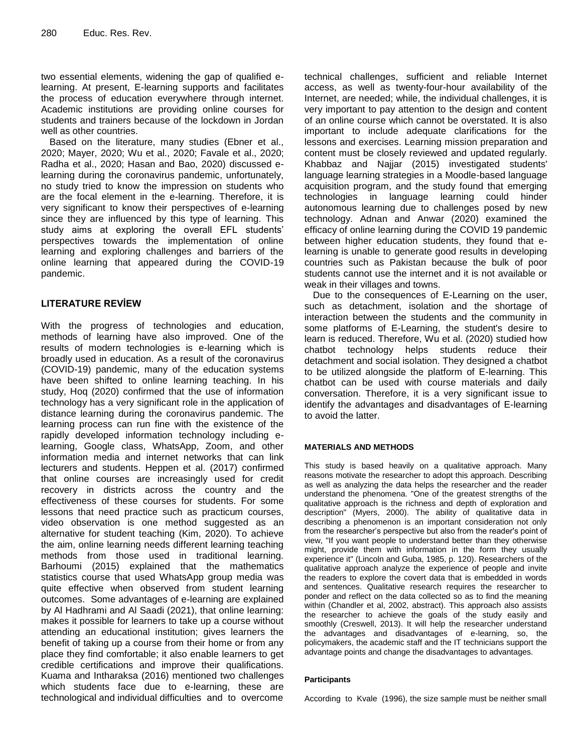two essential elements, widening the gap of qualified elearning. At present, E-learning supports and facilitates the process of education everywhere through internet. Academic institutions are providing online courses for students and trainers because of the lockdown in Jordan well as other countries.

Based on the literature, many studies (Ebner et al., 2020; Mayer, 2020; Wu et al., 2020; Favale et al., 2020; Radha et al., 2020; Hasan and Bao, 2020) discussed elearning during the coronavirus pandemic, unfortunately, no study tried to know the impression on students who are the focal element in the e-learning. Therefore, it is very significant to know their perspectives of e-learning since they are influenced by this type of learning. This study aims at exploring the overall EFL students' perspectives towards the implementation of online learning and exploring challenges and barriers of the online learning that appeared during the COVID-19 pandemic.

# **LITERATURE REVİEW**

With the progress of technologies and education, methods of learning have also improved. One of the results of modern technologies is e-learning which is broadly used in education. As a result of the coronavirus (COVID-19) pandemic, many of the education systems have been shifted to online learning teaching. In his study, Hoq (2020) confirmed that the use of information technology has a very significant role in the application of distance learning during the coronavirus pandemic. The learning process can run fine with the existence of the rapidly developed information technology including elearning, Google class, WhatsApp, Zoom, and other information media and internet networks that can link lecturers and students. Heppen et al. (2017) confirmed that online courses are increasingly used for credit recovery in districts across the country and the effectiveness of these courses for students. For some lessons that need practice such as practicum courses, video observation is one method suggested as an alternative for student teaching (Kim, 2020). To achieve the aim, online learning needs different learning teaching methods from those used in traditional learning. Barhoumi (2015) explained that the mathematics statistics course that used WhatsApp group media was quite effective when observed from student learning outcomes. Some advantages of e-learning are explained by Al Hadhrami and Al Saadi (2021), that online learning: makes it possible for learners to take up a course without attending an educational institution; gives learners the benefit of taking up a course from their home or from any place they find comfortable; it also enable learners to get credible certifications and improve their qualifications. Kuama and Intharaksa (2016) mentioned two challenges which students face due to e-learning, these are technological and individual difficulties and to overcome

technical challenges, sufficient and reliable Internet access, as well as twenty-four-hour availability of the Internet, are needed; while, the individual challenges, it is very important to pay attention to the design and content of an online course which cannot be overstated. It is also important to include adequate clarifications for the lessons and exercises. Learning mission preparation and content must be closely reviewed and updated regularly. Khabbaz and Najjar (2015) investigated students' language learning strategies in a Moodle-based language acquisition program, and the study found that emerging technologies in language learning could hinder autonomous learning due to challenges posed by new technology. Adnan and Anwar (2020) examined the efficacy of online learning during the COVID 19 pandemic between higher education students, they found that elearning is unable to generate good results in developing countries such as Pakistan because the bulk of poor students cannot use the internet and it is not available or weak in their villages and towns.

Due to the consequences of E-Learning on the user, such as detachment, isolation and the shortage of interaction between the students and the community in some platforms of E-Learning, the student's desire to learn is reduced. Therefore, Wu et al. (2020) studied how chatbot technology helps students reduce their detachment and social isolation. They designed a chatbot to be utilized alongside the platform of E-learning. This chatbot can be used with course materials and daily conversation. Therefore, it is a very significant issue to identify the advantages and disadvantages of E-learning to avoid the latter.

#### **MATERIALS AND METHODS**

This study is based heavily on a qualitative approach. Many reasons motivate the researcher to adopt this approach. Describing as well as analyzing the data helps the researcher and the reader understand the phenomena. "One of the greatest strengths of the qualitative approach is the richness and depth of exploration and description" (Myers, 2000). The ability of qualitative data in describing a phenomenon is an important consideration not only from the researcher"s perspective but also from the reader's point of view, "If you want people to understand better than they otherwise might, provide them with information in the form they usually experience it" (Lincoln and Guba, 1985, p. 120). Researchers of the qualitative approach analyze the experience of people and invite the readers to explore the covert data that is embedded in words and sentences. Qualitative research requires the researcher to ponder and reflect on the data collected so as to find the meaning within (Chandler et al, 2002, abstract). This approach also assists the researcher to achieve the goals of the study easily and smoothly (Creswell, 2013). It will help the researcher understand the advantages and disadvantages of e-learning, so, the policymakers, the academic staff and the IT technicians support the advantage points and change the disadvantages to advantages.

#### **Participants**

According to Kvale (1996), the size sample must be neither small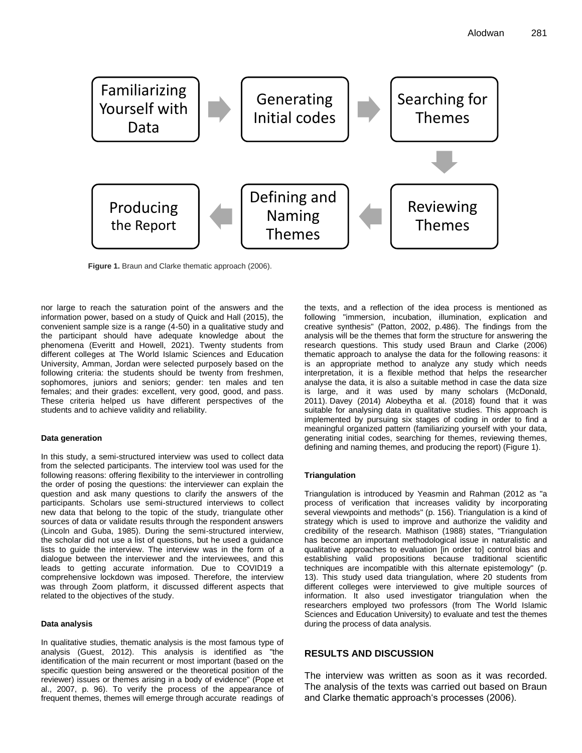

**Figure 1.** Braun and Clarke thematic approach (2006).

nor large to reach the saturation point of the answers and the information power, based on a study of Quick and Hall (2015), the convenient sample size is a range (4-50) in a qualitative study and the participant should have adequate knowledge about the phenomena (Everitt and Howell, 2021). Twenty students from different colleges at The World Islamic Sciences and Education University, Amman, Jordan were selected purposely based on the following criteria: the students should be twenty from freshmen, sophomores, juniors and seniors; gender: ten males and ten females; and their grades: excellent, very good, good, and pass. These criteria helped us have different perspectives of the students and to achieve validity and reliability.

#### **Data generation**

In this study, a semi-structured interview was used to collect data from the selected participants. The interview tool was used for the following reasons: offering flexibility to the interviewer in controlling the order of posing the questions: the interviewer can explain the question and ask many questions to clarify the answers of the participants. Scholars use semi-structured interviews to collect new data that belong to the topic of the study, triangulate other sources of data or validate results through the respondent answers (Lincoln and Guba, 1985). During the semi-structured interview, the scholar did not use a list of questions, but he used a guidance lists to guide the interview. The interview was in the form of a dialogue between the interviewer and the interviewees, and this leads to getting accurate information. Due to COVID19 a comprehensive lockdown was imposed. Therefore, the interview was through Zoom platform, it discussed different aspects that related to the objectives of the study.

#### **Data analysis**

In qualitative studies, thematic analysis is the most famous type of analysis (Guest, 2012). This analysis is identified as "the identification of the main recurrent or most important (based on the specific question being answered or the theoretical position of the reviewer) issues or themes arising in a body of evidence" (Pope et al., 2007, p. 96). To verify the process of the appearance of frequent themes, themes will emerge through accurate readings of

the texts, and a reflection of the idea process is mentioned as following "immersion, incubation, illumination, explication and creative synthesis" (Patton, 2002, p.486). The findings from the analysis will be the themes that form the structure for answering the research questions. This study used Braun and Clarke (2006) thematic approach to analyse the data for the following reasons: it is an appropriate method to analyze any study which needs interpretation, it is a flexible method that helps the researcher analyse the data, it is also a suitable method in case the data size is large, and it was used by many scholars (McDonald, 2011). Davey (2014) Alobeytha et al. (2018) found that it was suitable for analysing data in qualitative studies. This approach is implemented by pursuing six stages of coding in order to find a meaningful organized pattern (familiarizing yourself with your data, generating initial codes, searching for themes, reviewing themes, defining and naming themes, and producing the report) (Figure 1).

#### **Triangulation**

Triangulation is introduced by Yeasmin and Rahman (2012 as "a process of verification that increases validity by incorporating several viewpoints and methods" (p. 156). Triangulation is a kind of strategy which is used to improve and authorize the validity and credibility of the research. Mathison (1988) states, "Triangulation has become an important methodological issue in naturalistic and qualitative approaches to evaluation [in order to] control bias and establishing valid propositions because traditional scientific techniques are incompatible with this alternate epistemology" (p. 13). This study used data triangulation, where 20 students from different colleges were interviewed to give multiple sources of information. It also used investigator triangulation when the researchers employed two professors (from The World Islamic Sciences and Education University) to evaluate and test the themes during the process of data analysis.

#### **RESULTS AND DISCUSSION**

The interview was written as soon as it was recorded. The analysis of the texts was carried out based on Braun and Clarke thematic approach's processes (2006).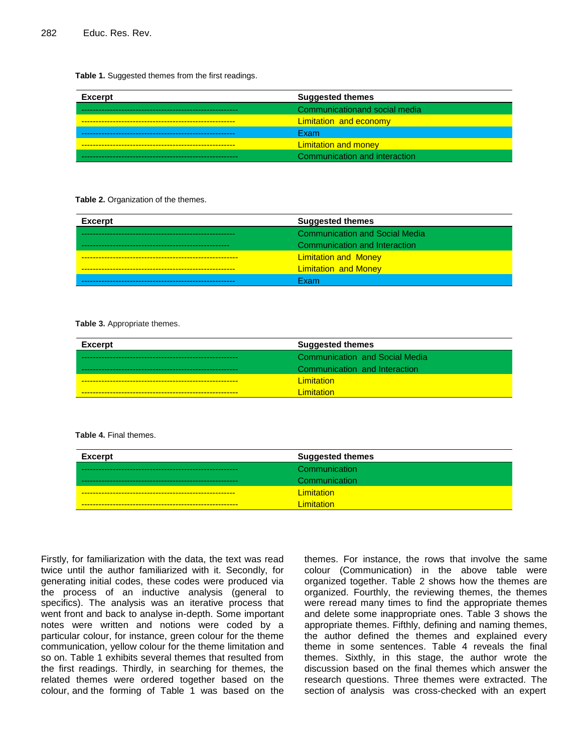#### **Table 1.** Suggested themes from the first readings.

| <b>Excerpt</b> | <b>Suggested themes</b>       |
|----------------|-------------------------------|
|                | Communicationand social media |
|                | <b>Limitation and economy</b> |
|                | <b>Exam</b>                   |
|                | <b>Limitation and money</b>   |
|                | Communication and interaction |

#### **Table 2.** Organization of the themes.

| <b>Excerpt</b> | <b>Suggested themes</b>               |
|----------------|---------------------------------------|
|                | <b>Communication and Social Media</b> |
|                | Communication and Interaction         |
|                | <b>Limitation and Money</b>           |
|                | <b>Limitation and Money</b>           |
|                | Fxam                                  |

#### **Table 3.** Appropriate themes.

| Excerpt | <b>Suggested themes</b>               |
|---------|---------------------------------------|
|         | <b>Communication and Social Media</b> |
|         | Communication and Interaction         |
|         | <b>Limitation</b>                     |
|         | <u>Limitation</u>                     |

#### **Table 4.** Final themes.

| <b>Excerpt</b>             | <b>Suggested themes</b> |
|----------------------------|-------------------------|
|                            | Communication           |
|                            | Communication           |
|                            | <b>Limitation</b>       |
| -------------------------- | <u>imitation</u>        |

Firstly, for familiarization with the data, the text was read twice until the author familiarized with it. Secondly, for generating initial codes, these codes were produced via the process of an inductive analysis (general to specifics). The analysis was an iterative process that went front and back to analyse in-depth. Some important notes were written and notions were coded by a particular colour, for instance, green colour for the theme communication, yellow colour for the theme limitation and so on. Table 1 exhibits several themes that resulted from the first readings. Thirdly, in searching for themes, the related themes were ordered together based on the colour, and the forming of Table 1 was based on the

themes. For instance, the rows that involve the same colour (Communication) in the above table were organized together. Table 2 shows how the themes are organized. Fourthly, the reviewing themes, the themes were reread many times to find the appropriate themes and delete some inappropriate ones. Table 3 shows the appropriate themes. Fifthly, defining and naming themes, the author defined the themes and explained every theme in some sentences. Table 4 reveals the final themes. Sixthly, in this stage, the author wrote the discussion based on the final themes which answer the research questions. Three themes were extracted. The section of analysis was cross-checked with an expert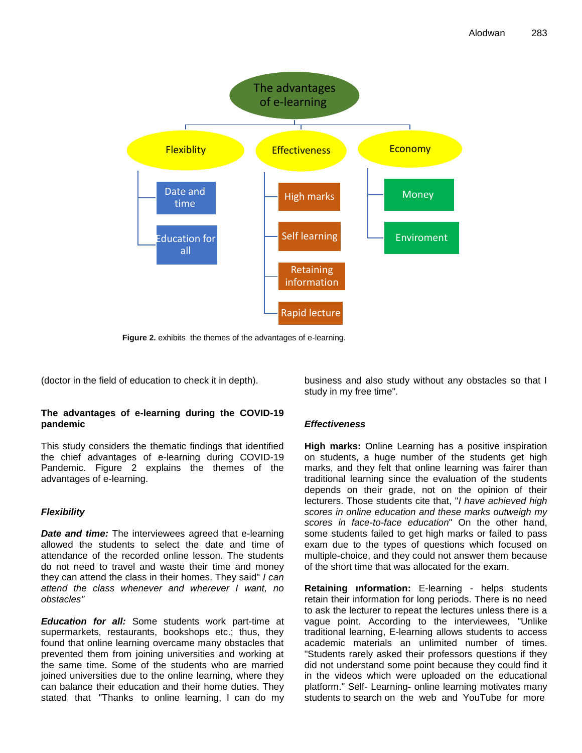

**Figure 2.** exhibits the themes of the advantages of e-learning.

(doctor in the field of education to check it in depth).

# **The advantages of e-learning during the COVID-19 pandemic**

This study considers the thematic findings that identified the chief advantages of e-learning during COVID-19 Pandemic. Figure 2 explains the themes of the advantages of e-learning.

# *Flexibility*

*Date and time:* The interviewees agreed that e-learning allowed the students to select the date and time of attendance of the recorded online lesson. The students do not need to travel and waste their time and money they can attend the class in their homes. They said" *I can attend the class whenever and wherever I want, no obstacles"*

*Education for all:* Some students work part-time at supermarkets, restaurants, bookshops etc.; thus, they found that online learning overcame many obstacles that prevented them from joining universities and working at the same time. Some of the students who are married joined universities due to the online learning, where they can balance their education and their home duties. They stated that "Thanks to online learning, I can do my business and also study without any obstacles so that I study in my free time".

# *Effectiveness*

**High marks:** Online Learning has a positive inspiration on students, a huge number of the students get high marks, and they felt that online learning was fairer than traditional learning since the evaluation of the students depends on their grade, not on the opinion of their lecturers. Those students cite that, "*I have achieved high scores in online education and these marks outweigh my scores in face-to-face education*" On the other hand, some students failed to get high marks or failed to pass exam due to the types of questions which focused on multiple-choice, and they could not answer them because of the short time that was allocated for the exam.

**Retaining ınformation:** E-learning - helps students retain their information for long periods. There is no need to ask the lecturer to repeat the lectures unless there is a vague point. According to the interviewees, "Unlike traditional learning, E-learning allows students to access academic materials an unlimited number of times. "Students rarely asked their professors questions if they did not understand some point because they could find it in the videos which were uploaded on the educational platform." Self- Learning**-** online learning motivates many students to search on the web and YouTube for more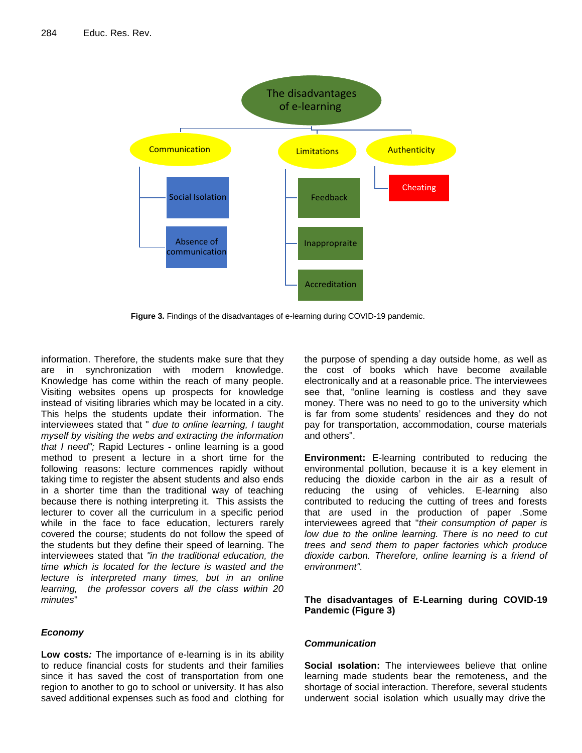

**Figure 3.** Findings of the disadvantages of e-learning during COVID-19 pandemic.

information. Therefore, the students make sure that they are in synchronization with modern knowledge. Knowledge has come within the reach of many people. Visiting websites opens up prospects for knowledge instead of visiting libraries which may be located in a city. This helps the students update their information. The interviewees stated that " *due to online learning, I taught myself by visiting the webs and extracting the information that I need";* Rapid Lectures **-** online learning is a good method to present a lecture in a short time for the following reasons: lecture commences rapidly without taking time to register the absent students and also ends in a shorter time than the traditional way of teaching because there is nothing interpreting it. This assists the lecturer to cover all the curriculum in a specific period while in the face to face education, lecturers rarely covered the course; students do not follow the speed of the students but they define their speed of learning. The interviewees stated that *"in the traditional education, the time which is located for the lecture is wasted and the lecture is interpreted many times, but in an online learning, the professor covers all the class within 20 minutes*"

# *Economy*

**Low costs***:* The importance of e-learning is in its ability to reduce financial costs for students and their families since it has saved the cost of transportation from one region to another to go to school or university. It has also saved additional expenses such as food and clothing for

the purpose of spending a day outside home, as well as the cost of books which have become available electronically and at a reasonable price. The interviewees see that, "online learning is costless and they save money. There was no need to go to the university which is far from some students' residences and they do not pay for transportation, accommodation, course materials and others".

**Environment:** E-learning contributed to reducing the environmental pollution, because it is a key element in reducing the dioxide carbon in the air as a result of reducing the using of vehicles. E-learning also contributed to reducing the cutting of trees and forests that are used in the production of paper .Some interviewees agreed that "*their consumption of paper is low due to the online learning. There is no need to cut trees and send them to paper factories which produce dioxide carbon. Therefore, online learning is a friend of environment".*

# **The disadvantages of E-Learning during COVID-19 Pandemic (Figure 3)**

## *Communication*

**Social ısolation:** The interviewees believe that online learning made students bear the remoteness, and the shortage of social interaction. Therefore, several students underwent social isolation which usually may drive the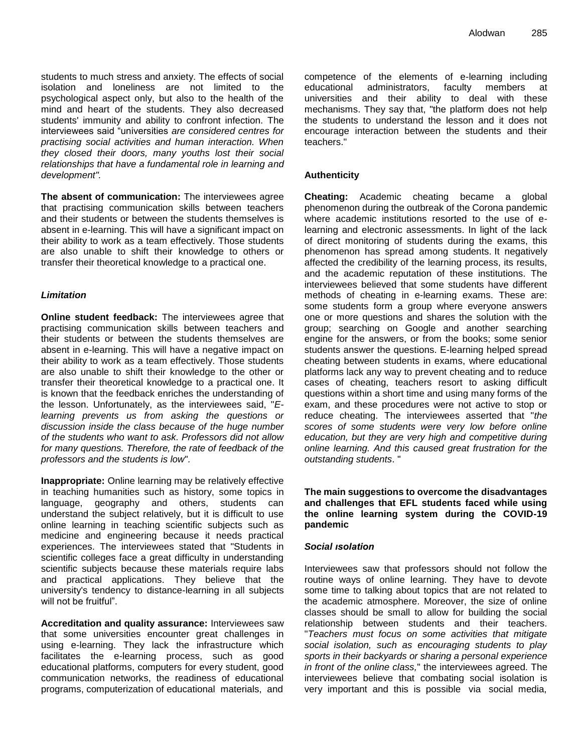students to much stress and anxiety. The effects of social isolation and loneliness are not limited to the psychological aspect only, but also to the health of the mind and heart of the students. They also decreased students' immunity and ability to confront infection. The interviewees said "universities *are considered centres for practising social activities and human interaction. When they closed their doors, many youths lost their social relationships that have a fundamental role in learning and development".*

**The absent of communication:** The interviewees agree that practising communication skills between teachers and their students or between the students themselves is absent in e-learning. This will have a significant impact on their ability to work as a team effectively. Those students are also unable to shift their knowledge to others or transfer their theoretical knowledge to a practical one.

## *Limitation*

**Online student feedback:** The interviewees agree that practising communication skills between teachers and their students or between the students themselves are absent in e-learning. This will have a negative impact on their ability to work as a team effectively. Those students are also unable to shift their knowledge to the other or transfer their theoretical knowledge to a practical one. It is known that the feedback enriches the understanding of the lesson. Unfortunately, as the interviewees said, "*Elearning prevents us from asking the questions or discussion inside the class because of the huge number of the students who want to ask. Professors did not allow for many questions. Therefore, the rate of feedback of the professors and the students is low*"*.*

**Inappropriate:** Online learning may be relatively effective in teaching humanities such as history, some topics in language, geography and others, students can understand the subject relatively, but it is difficult to use online learning in teaching scientific subjects such as medicine and engineering because it needs practical experiences. The interviewees stated that "Students in scientific colleges face a great difficulty in understanding scientific subjects because these materials require labs and practical applications. They believe that the university's tendency to distance-learning in all subjects will not be fruitful".

**Accreditation and quality assurance:** Interviewees saw that some universities encounter great challenges in using e-learning. They lack the infrastructure which facilitates the e-learning process, such as good educational platforms, computers for every student, good communication networks, the readiness of educational programs, computerization of educational materials, and competence of the elements of e-learning including educational administrators, faculty members at universities and their ability to deal with these mechanisms. They say that, "the platform does not help the students to understand the lesson and it does not encourage interaction between the students and their teachers."

## **Authenticity**

**Cheating:** Academic cheating became a global phenomenon during the outbreak of the Corona pandemic where academic institutions resorted to the use of elearning and electronic assessments. In light of the lack of direct monitoring of students during the exams, this phenomenon has spread among students. It negatively affected the credibility of the learning process, its results, and the academic reputation of these institutions. The interviewees believed that some students have different methods of cheating in e-learning exams. These are: some students form a group where everyone answers one or more questions and shares the solution with the group; searching on Google and another searching engine for the answers, or from the books; some senior students answer the questions. E-learning helped spread cheating between students in exams, where educational platforms lack any way to prevent cheating and to reduce cases of cheating, teachers resort to asking difficult questions within a short time and using many forms of the exam, and these procedures were not active to stop or reduce cheating. The interviewees asserted that "*the scores of some students were very low before online education, but they are very high and competitive during online learning. And this caused great frustration for the outstanding students*. "

## **The main suggestions to overcome the disadvantages and challenges that EFL students faced while using the online learning system during the COVID-19 pandemic**

## *Social ısolation*

Interviewees saw that professors should not follow the routine ways of online learning. They have to devote some time to talking about topics that are not related to the academic atmosphere. Moreover, the size of online classes should be small to allow for building the social relationship between students and their teachers. "*Teachers must focus on some activities that mitigate social isolation, such as encouraging students to play sports in their backyards or sharing a personal experience in front of the online class,*" the interviewees agreed. The interviewees believe that combating social isolation is very important and this is possible via social media,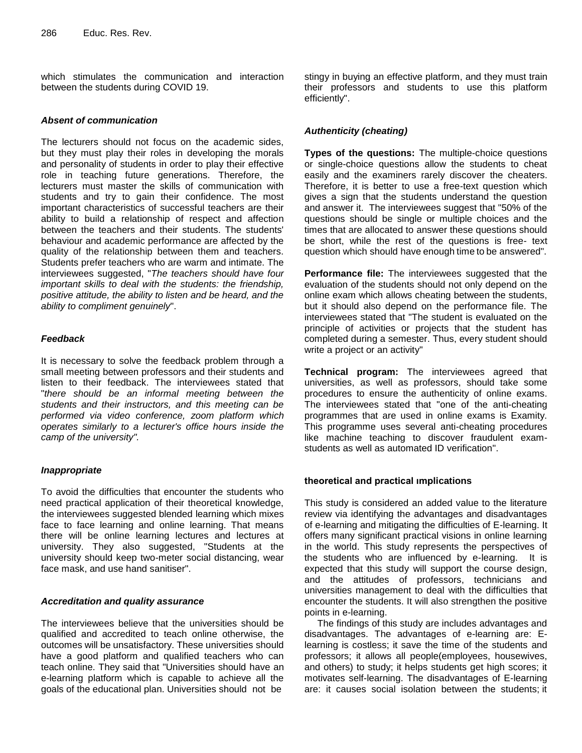which stimulates the communication and interaction between the students during COVID 19.

#### *Absent of communication*

The lecturers should not focus on the academic sides, but they must play their roles in developing the morals and personality of students in order to play their effective role in teaching future generations. Therefore, the lecturers must master the skills of communication with students and try to gain their confidence. The most important characteristics of successful teachers are their ability to build a relationship of respect and affection between the teachers and their students. The students' behaviour and academic performance are affected by the quality of the relationship between them and teachers. Students prefer teachers who are warm and intimate. The interviewees suggested, "*The teachers should have four important skills to deal with the students: the friendship, positive attitude, the ability to listen and be heard, and the ability to compliment genuinely*".

#### *Feedback*

It is necessary to solve the feedback problem through a small meeting between professors and their students and listen to their feedback. The interviewees stated that "*there should be an informal meeting between the students and their instructors, and this meeting can be performed via video conference, zoom platform which operates similarly to a lecturer's office hours inside the camp of the university".*

#### *Inappropriate*

To avoid the difficulties that encounter the students who need practical application of their theoretical knowledge, the interviewees suggested blended learning which mixes face to face learning and online learning. That means there will be online learning lectures and lectures at university. They also suggested, "Students at the university should keep two-meter social distancing, wear face mask, and use hand sanitiser".

## *Accreditation and quality assurance*

The interviewees believe that the universities should be qualified and accredited to teach online otherwise, the outcomes will be unsatisfactory. These universities should have a good platform and qualified teachers who can teach online. They said that "Universities should have an e-learning platform which is capable to achieve all the goals of the educational plan. Universities should not be

stingy in buying an effective platform, and they must train their professors and students to use this platform efficiently".

# *Authenticity (cheating)*

**Types of the questions:** The multiple-choice questions or single-choice questions allow the students to cheat easily and the examiners rarely discover the cheaters. Therefore, it is better to use a free-text question which gives a sign that the students understand the question and answer it. The interviewees suggest that "50% of the questions should be single or multiple choices and the times that are allocated to answer these questions should be short, while the rest of the questions is free- text question which should have enough time to be answered".

**Performance file:** The interviewees suggested that the evaluation of the students should not only depend on the online exam which allows cheating between the students, but it should also depend on the performance file. The interviewees stated that "The student is evaluated on the principle of activities or projects that the student has completed during a semester. Thus, every student should write a project or an activity"

**Technical program:** The interviewees agreed that universities, as well as professors, should take some procedures to ensure the authenticity of online exams. The interviewees stated that "one of the anti-cheating programmes that are used in online exams is Examity. This programme uses several anti-cheating procedures like machine teaching to discover fraudulent examstudents as well as automated ID verification".

## **theoretical and practical ımplications**

This study is considered an added value to the literature review via identifying the advantages and disadvantages of e-learning and mitigating the difficulties of E-learning. It offers many significant practical visions in online learning in the world. This study represents the perspectives of the students who are influenced by e-learning. It is expected that this study will support the course design, and the attitudes of professors, technicians and universities management to deal with the difficulties that encounter the students. It will also strengthen the positive points in e-learning.

The findings of this study are includes advantages and disadvantages. The advantages of e-learning are: Elearning is costless; it save the time of the students and professors; it allows all people(employees, housewives, and others) to study; it helps students get high scores; it motivates self-learning. The disadvantages of E-learning are: it causes social isolation between the students; it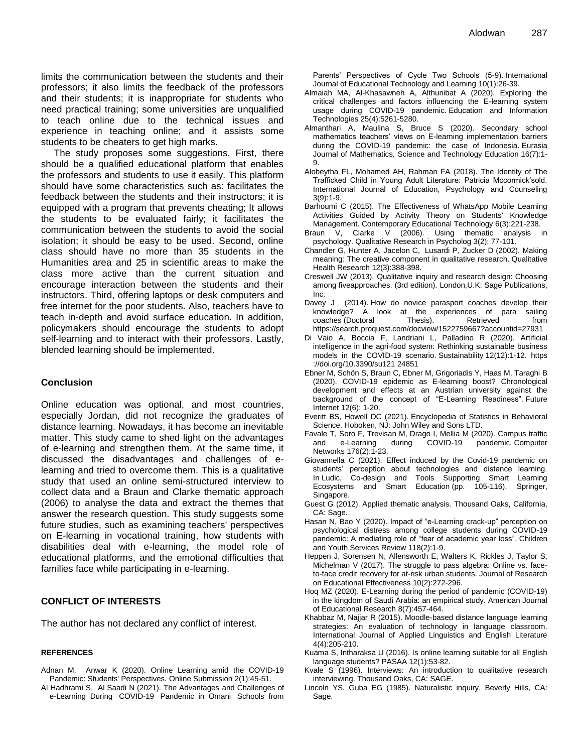limits the communication between the students and their professors; it also limits the feedback of the professors and their students; it is inappropriate for students who need practical training; some universities are unqualified to teach online due to the technical issues and experience in teaching online; and it assists some students to be cheaters to get high marks.

The study proposes some suggestions. First, there should be a qualified educational platform that enables the professors and students to use it easily. This platform should have some characteristics such as: facilitates the feedback between the students and their instructors; it is equipped with a program that prevents cheating; It allows the students to be evaluated fairly; it facilitates the communication between the students to avoid the social isolation; it should be easy to be used. Second, online class should have no more than 35 students in the Humanities area and 25 in scientific areas to make the class more active than the current situation and encourage interaction between the students and their instructors. Third, offering laptops or desk computers and free internet for the poor students. Also, teachers have to teach in-depth and avoid surface education. In addition, policymakers should encourage the students to adopt self-learning and to interact with their professors. Lastly, blended learning should be implemented.

#### **Conclusion**

Online education was optional, and most countries, especially Jordan, did not recognize the graduates of distance learning. Nowadays, it has become an inevitable matter. This study came to shed light on the advantages of e-learning and strengthen them. At the same time, it discussed the disadvantages and challenges of elearning and tried to overcome them. This is a qualitative study that used an online semi-structured interview to collect data and a Braun and Clarke thematic approach (2006) to analyse the data and extract the themes that answer the research question. This study suggests some future studies, such as examining teachers' perspectives on E-learning in vocational training, how students with disabilities deal with e-learning, the model role of educational platforms, and the emotional difficulties that families face while participating in e-learning.

#### **CONFLICT OF INTERESTS**

The author has not declared any conflict of interest.

#### **REFERENCES**

- Adnan M, Anwar K (2020). Online Learning amid the COVID-19 Pandemic: Students' Perspectives. Online Submission 2(1):45-51.
- Al Hadhrami S, Al Saadi N (2021). The Advantages and Challenges of e-Learning During COVID-19 Pandemic in Omani Schools from

Parents" Perspectives of Cycle Two Schools (5-9). International Journal of Educational Technology and Learning 10(1):26-39.

- Almaiah MA, Al-Khasawneh A, Althunibat A (2020). Exploring the critical challenges and factors influencing the E-learning system usage during COVID-19 pandemic. Education and Information Technologies 25(4):5261-5280.
- Almanthari A, Maulina S, Bruce S (2020). Secondary school mathematics teachers" views on E-learning implementation barriers during the COVID-19 pandemic: the case of Indonesia. Eurasia Journal of Mathematics, Science and Technology Education 16(7):1- 9.
- Alobeytha FL, Mohamed AH, Rahman FA (2018). The Identity of The Trafficked Child in Young Adult Literature: Patricia Mccormick"sold. International Journal of Education, Psychology and Counseling 3(9):1-9.
- Barhoumi C (2015). The Effectiveness of WhatsApp Mobile Learning Activities Guided by Activity Theory on Students' Knowledge Management. Contemporary Educational Technology 6(3):221-238.
- Braun V, Clarke V (2006). Using thematic analysis in psychology. Qualitative Research in Psycholog 3(2): 77-101.
- Chandler G, Hunter A, Jacelon C, Lusardi P, Zucker D (2002). Making meaning: The creative component in qualitative research. Qualitative Health Research 12(3):388-398.
- Creswell JW (2013). Qualitative inquiry and research design: Choosing among fiveapproaches. (3rd edition). London,U.K: Sage Publications, Inc.
- Davey J (2014). How do novice parasport coaches develop their knowledge? A look at the experiences of para sailing coaches (Doctoral Thesis). Retrieved from https://search.proquest.com/docview/1522759667?accountid=27931
- Di Vaio A, Boccia F, Landriani L, Palladino R (2020). Artificial intelligence in the agri-food system: Rethinking sustainable business models in the COVID-19 scenario. Sustainability 12(12):1-12. https ://doi.org/10.3390/su121 24851
- Ebner M, Schön S, Braun C, Ebner M, Grigoriadis Y, Haas M, Taraghi B (2020). COVID-19 epidemic as E-learning boost? Chronological development and effects at an Austrian university against the background of the concept of "E-Learning Readiness". Future Internet 12(6): 1-20.
- Everitt BS, Howell DC (2021). Encyclopedia of Statistics in Behavioral Science. Hoboken, NJ: John Wiley and Sons LTD.
- Favale T, Soro F, Trevisan M, Drago I, Mellia M (2020). Campus traffic and e-Learning during COVID-19 pandemic. Computer Networks 176(2):1-23.
- Giovannella C (2021). Effect induced by the Covid-19 pandemic on students" perception about technologies and distance learning. In Ludic, Co-design and Tools Supporting Smart Learning Ecosystems and Smart Education (pp. 105-116). Springer, Singapore.
- Guest G (2012). Applied thematic analysis. Thousand Oaks, California, CA: Sage.
- Hasan N, Bao Y (2020). Impact of "e-Learning crack-up" perception on psychological distress among college students during COVID-19 pandemic: A mediating role of "fear of academic year loss". Children and Youth Services Review 118(2):1-9.
- Heppen J, Sorensen N, Allensworth E, Walters K, Rickles J, Taylor S, Michelman V (2017). The struggle to pass algebra: Online vs. faceto-face credit recovery for at-risk urban students. Journal of Research on Educational Effectiveness 10(2):272-296.
- Hoq MZ (2020). E-Learning during the period of pandemic (COVID-19) in the kingdom of Saudi Arabia: an empirical study. American Journal of Educational Research 8(7):457-464.
- Khabbaz M, Najjar R (2015). Moodle-based distance language learning strategies: An evaluation of technology in language classroom. International Journal of Applied Linguistics and English Literature 4(4):205-210.
- Kuama S, Intharaksa U (2016). Is online learning suitable for all English language students? PASAA 12(1):53-82.
- Kvale S (1996). Interviews: An introduction to qualitative research interviewing. Thousand Oaks, CA: SAGE.
- Lincoln YS, Guba EG (1985). Naturalistic inquiry. Beverly Hills, CA: Sage.